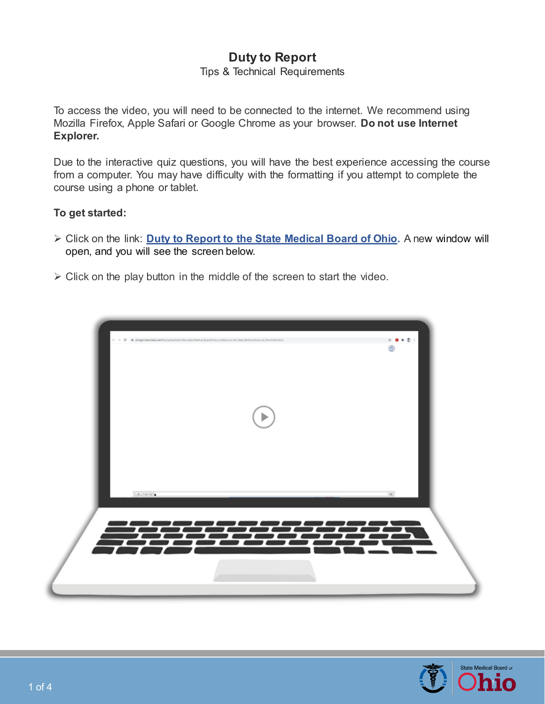## **Duty to Report**

Tips & Technical Requirements

To access the video, you will need to be connected to the internet. We recommend using Mozilla Firefox, Apple Safari or Google Chrome as your browser. **Do not use Internet Explorer.** 

Due to the interactive quiz questions, you will have the best experience accessing the course from a computer. You may have difficulty with the formatting if you attempt to complete the course using a phone or tablet.

## **To get started:**

- Click on the link: **[Duty to Report to the State Medical Board of Ohio.](https://ohiogov.learn.taleo.net/files/upload/web_files/video/Medical_Board/Duty_to_Report_to_the_State_Medical_Board_of_Ohio/index.html)** A new window will open, and you will see the screen below.
- $\triangleright$  Click on the play button in the middle of the screen to start the video.



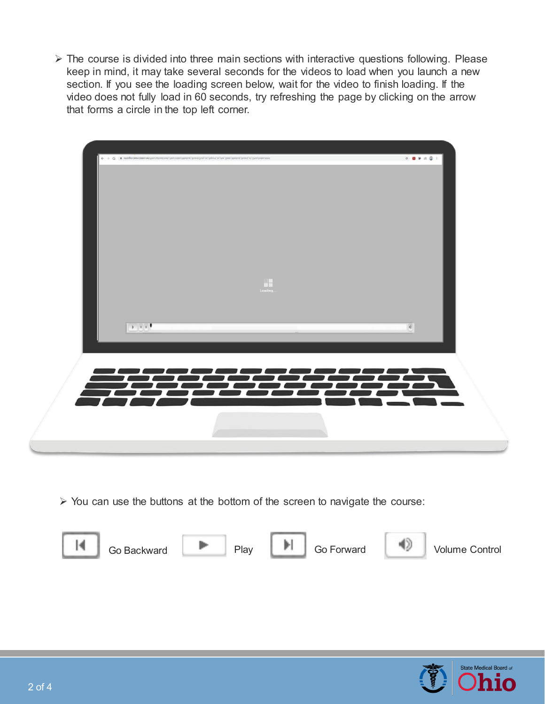$\triangleright$  The course is divided into three main sections with interactive questions following. Please keep in mind, it may take several seconds for the videos to load when you launch a new section. If you see the loading screen below, wait for the video to finish loading. If the video does not fully load in 60 seconds, try refreshing the page by clicking on the arrow that forms a circle in the top left corner.



 $\triangleright$  You can use the buttons at the bottom of the screen to navigate the course:



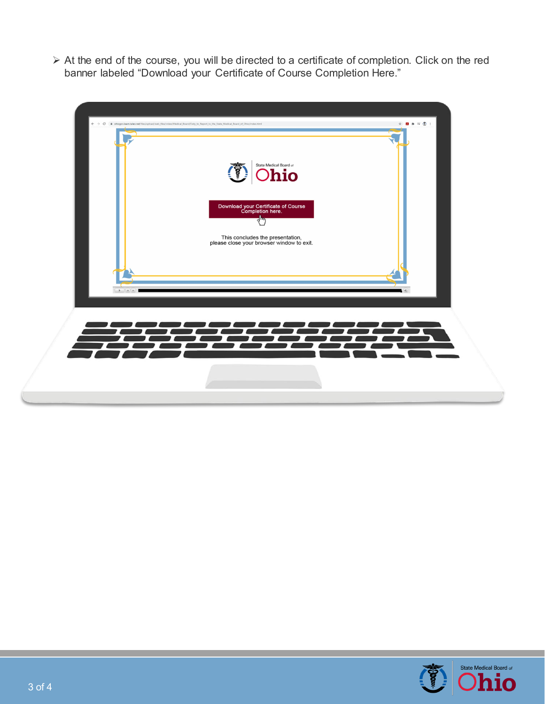At the end of the course, you will be directed to a certificate of completion. Click on the red banner labeled "Download your Certificate of Course Completion Here."





O